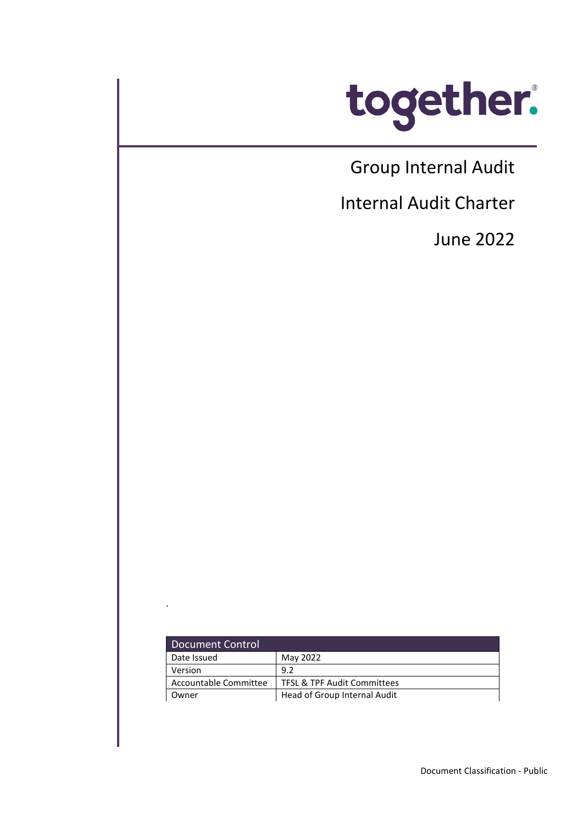

Group Internal Audit

j

Internal Audit Charter

June 2022

| Document Control      |                                        |
|-----------------------|----------------------------------------|
| Date Issued           | May 2022                               |
| Version               | 9.2                                    |
| Accountable Committee | <b>TFSL &amp; TPF Audit Committees</b> |
| Owner                 | Head of Group Internal Audit           |

.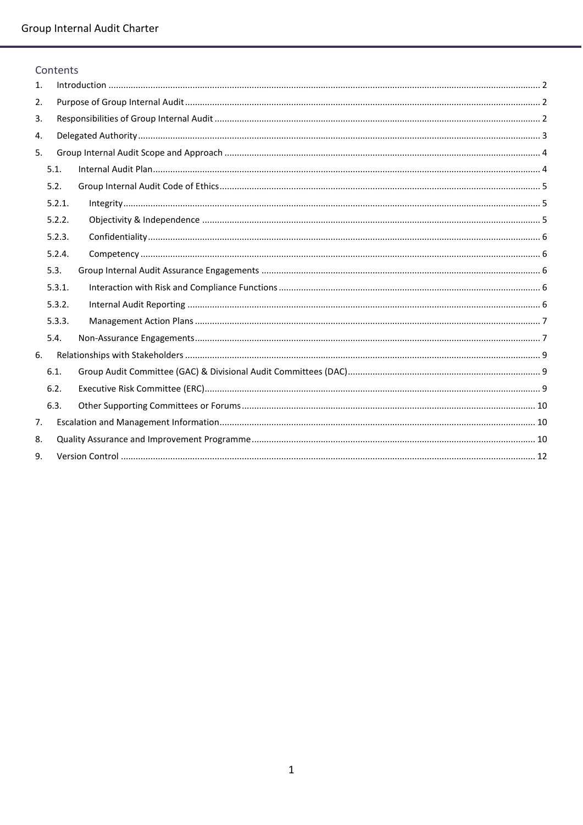Contents

| 5.1.<br>5.2.<br>5.2.1.<br>5.2.2.<br>5.2.3.<br>5.2.4.<br>5.3.<br>5.3.1.<br>5.3.2.<br>5.3.3.<br>5.4.<br>6.1.<br>6.2.<br>6.3. |  |
|----------------------------------------------------------------------------------------------------------------------------|--|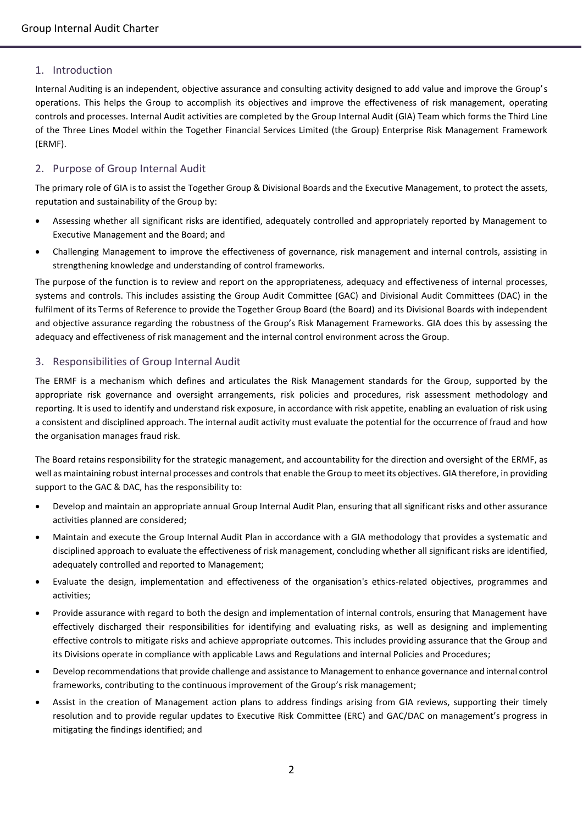# <span id="page-2-0"></span>1. Introduction

Internal Auditing is an independent, objective assurance and consulting activity designed to add value and improve the Group's operations. This helps the Group to accomplish its objectives and improve the effectiveness of risk management, operating controls and processes. Internal Audit activities are completed by the Group Internal Audit (GIA) Team which forms the Third Line of the Three Lines Model within the Together Financial Services Limited (the Group) Enterprise Risk Management Framework (ERMF).

# <span id="page-2-1"></span>2. Purpose of Group Internal Audit

The primary role of GIA is to assist the Together Group & Divisional Boards and the Executive Management, to protect the assets, reputation and sustainability of the Group by:

- Assessing whether all significant risks are identified, adequately controlled and appropriately reported by Management to Executive Management and the Board; and
- Challenging Management to improve the effectiveness of governance, risk management and internal controls, assisting in strengthening knowledge and understanding of control frameworks.

The purpose of the function is to review and report on the appropriateness, adequacy and effectiveness of internal processes, systems and controls. This includes assisting the Group Audit Committee (GAC) and Divisional Audit Committees (DAC) in the fulfilment of its Terms of Reference to provide the Together Group Board (the Board) and its Divisional Boards with independent and objective assurance regarding the robustness of the Group's Risk Management Frameworks. GIA does this by assessing the adequacy and effectiveness of risk management and the internal control environment across the Group.

## <span id="page-2-2"></span>3. Responsibilities of Group Internal Audit

The ERMF is a mechanism which defines and articulates the Risk Management standards for the Group, supported by the appropriate risk governance and oversight arrangements, risk policies and procedures, risk assessment methodology and reporting. It is used to identify and understand risk exposure, in accordance with risk appetite, enabling an evaluation of risk using a consistent and disciplined approach. The internal audit activity must evaluate the potential for the occurrence of fraud and how the organisation manages fraud risk.

The Board retains responsibility for the strategic management, and accountability for the direction and oversight of the ERMF, as well as maintaining robust internal processes and controls that enable the Group to meet its objectives. GIA therefore, in providing support to the GAC & DAC, has the responsibility to:

- Develop and maintain an appropriate annual Group Internal Audit Plan, ensuring that all significant risks and other assurance activities planned are considered;
- Maintain and execute the Group Internal Audit Plan in accordance with a GIA methodology that provides a systematic and disciplined approach to evaluate the effectiveness of risk management, concluding whether all significant risks are identified, adequately controlled and reported to Management;
- Evaluate the design, implementation and effectiveness of the organisation's ethics-related objectives, programmes and activities;
- Provide assurance with regard to both the design and implementation of internal controls, ensuring that Management have effectively discharged their responsibilities for identifying and evaluating risks, as well as designing and implementing effective controls to mitigate risks and achieve appropriate outcomes. This includes providing assurance that the Group and its Divisions operate in compliance with applicable Laws and Regulations and internal Policies and Procedures;
- Develop recommendations that provide challenge and assistance to Management to enhance governance and internal control frameworks, contributing to the continuous improvement of the Group's risk management;
- Assist in the creation of Management action plans to address findings arising from GIA reviews, supporting their timely resolution and to provide regular updates to Executive Risk Committee (ERC) and GAC/DAC on management's progress in mitigating the findings identified; and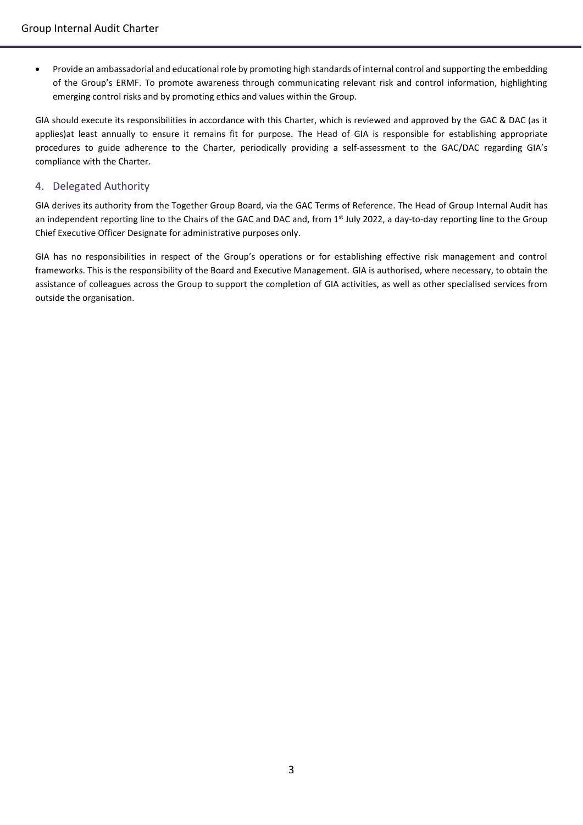Provide an ambassadorial and educational role by promoting high standards of internal control and supporting the embedding of the Group's ERMF. To promote awareness through communicating relevant risk and control information, highlighting emerging control risks and by promoting ethics and values within the Group.

GIA should execute its responsibilities in accordance with this Charter, which is reviewed and approved by the GAC & DAC (as it applies)at least annually to ensure it remains fit for purpose. The Head of GIA is responsible for establishing appropriate procedures to guide adherence to the Charter, periodically providing a self-assessment to the GAC/DAC regarding GIA's compliance with the Charter.

# <span id="page-3-0"></span>4. Delegated Authority

GIA derives its authority from the Together Group Board, via the GAC Terms of Reference. The Head of Group Internal Audit has an independent reporting line to the Chairs of the GAC and DAC and, from 1<sup>st</sup> July 2022, a day-to-day reporting line to the Group Chief Executive Officer Designate for administrative purposes only.

GIA has no responsibilities in respect of the Group's operations or for establishing effective risk management and control frameworks. This is the responsibility of the Board and Executive Management. GIA is authorised, where necessary, to obtain the assistance of colleagues across the Group to support the completion of GIA activities, as well as other specialised services from outside the organisation.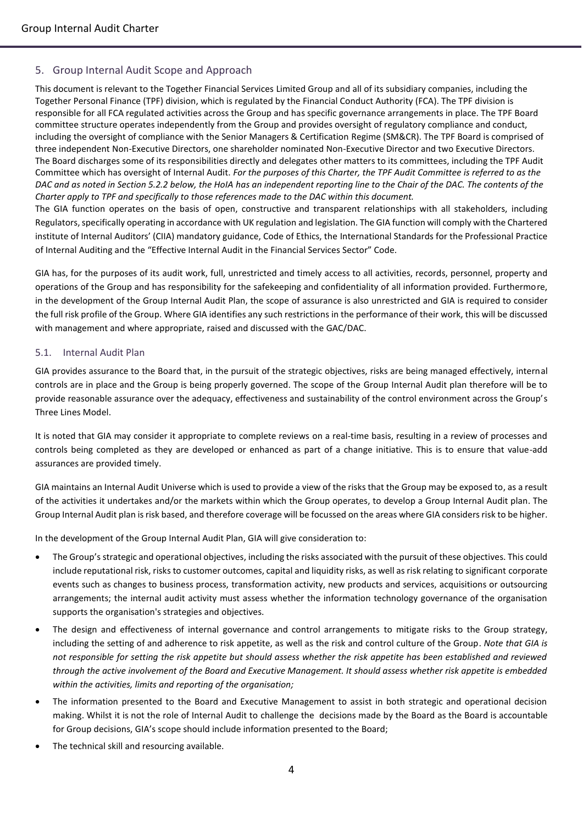# <span id="page-4-0"></span>5. Group Internal Audit Scope and Approach

This document is relevant to the Together Financial Services Limited Group and all of its subsidiary companies, including the Together Personal Finance (TPF) division, which is regulated by the Financial Conduct Authority (FCA). The TPF division is responsible for all FCA regulated activities across the Group and has specific governance arrangements in place. The TPF Board committee structure operates independently from the Group and provides oversight of regulatory compliance and conduct, including the oversight of compliance with the Senior Managers & Certification Regime (SM&CR). The TPF Board is comprised of three independent Non-Executive Directors, one shareholder nominated Non-Executive Director and two Executive Directors. The Board discharges some of its responsibilities directly and delegates other matters to its committees, including the TPF Audit Committee which has oversight of Internal Audit. *For the purposes of this Charter, the TPF Audit Committee is referred to as the DAC and as noted in Section 5.2.2 below, the HoIA has an independent reporting line to the Chair of the DAC. The contents of the Charter apply to TPF and specifically to those references made to the DAC within this document.*

The GIA function operates on the basis of open, constructive and transparent relationships with all stakeholders, including Regulators, specifically operating in accordance with UK regulation and legislation. The GIA function will comply with the Chartered institute of Internal Auditors' (CIIA) mandatory guidance, Code of Ethics, the International Standards for the Professional Practice of Internal Auditing and the "Effective Internal Audit in the Financial Services Sector" Code.

GIA has, for the purposes of its audit work, full, unrestricted and timely access to all activities, records, personnel, property and operations of the Group and has responsibility for the safekeeping and confidentiality of all information provided. Furthermore, in the development of the Group Internal Audit Plan, the scope of assurance is also unrestricted and GIA is required to consider the full risk profile of the Group. Where GIA identifies any such restrictions in the performance of their work, this will be discussed with management and where appropriate, raised and discussed with the GAC/DAC.

#### <span id="page-4-1"></span>5.1. Internal Audit Plan

GIA provides assurance to the Board that, in the pursuit of the strategic objectives, risks are being managed effectively, internal controls are in place and the Group is being properly governed. The scope of the Group Internal Audit plan therefore will be to provide reasonable assurance over the adequacy, effectiveness and sustainability of the control environment across the Group's Three Lines Model.

It is noted that GIA may consider it appropriate to complete reviews on a real-time basis, resulting in a review of processes and controls being completed as they are developed or enhanced as part of a change initiative. This is to ensure that value-add assurances are provided timely.

GIA maintains an Internal Audit Universe which is used to provide a view of the risks that the Group may be exposed to, as a result of the activities it undertakes and/or the markets within which the Group operates, to develop a Group Internal Audit plan. The Group Internal Audit plan is risk based, and therefore coverage will be focussed on the areas where GIA considers risk to be higher.

In the development of the Group Internal Audit Plan, GIA will give consideration to:

- The Group's strategic and operational objectives, including the risks associated with the pursuit of these objectives. This could include reputational risk, risks to customer outcomes, capital and liquidity risks, as well as risk relating to significant corporate events such as changes to business process, transformation activity, new products and services, acquisitions or outsourcing arrangements; the internal audit activity must assess whether the information technology governance of the organisation supports the organisation's strategies and objectives.
- The design and effectiveness of internal governance and control arrangements to mitigate risks to the Group strategy, including the setting of and adherence to risk appetite, as well as the risk and control culture of the Group. *Note that GIA is not responsible for setting the risk appetite but should assess whether the risk appetite has been established and reviewed through the active involvement of the Board and Executive Management. It should assess whether risk appetite is embedded within the activities, limits and reporting of the organisation;*
- The information presented to the Board and Executive Management to assist in both strategic and operational decision making. Whilst it is not the role of Internal Audit to challenge the decisions made by the Board as the Board is accountable for Group decisions, GIA's scope should include information presented to the Board;
- The technical skill and resourcing available.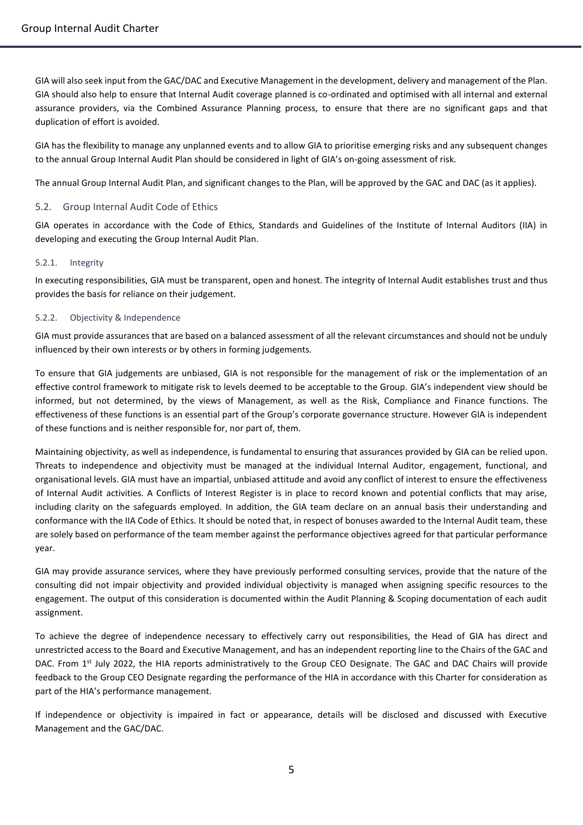GIA will also seek input from the GAC/DAC and Executive Management in the development, delivery and management of the Plan. GIA should also help to ensure that Internal Audit coverage planned is co-ordinated and optimised with all internal and external assurance providers, via the Combined Assurance Planning process, to ensure that there are no significant gaps and that duplication of effort is avoided.

GIA has the flexibility to manage any unplanned events and to allow GIA to prioritise emerging risks and any subsequent changes to the annual Group Internal Audit Plan should be considered in light of GIA's on-going assessment of risk.

The annual Group Internal Audit Plan, and significant changes to the Plan, will be approved by the GAC and DAC (as it applies).

## <span id="page-5-0"></span>5.2. Group Internal Audit Code of Ethics

GIA operates in accordance with the Code of Ethics, Standards and Guidelines of the Institute of Internal Auditors (IIA) in developing and executing the Group Internal Audit Plan.

### <span id="page-5-1"></span>5.2.1. Integrity

In executing responsibilities, GIA must be transparent, open and honest. The integrity of Internal Audit establishes trust and thus provides the basis for reliance on their judgement.

#### <span id="page-5-2"></span>5.2.2. Objectivity & Independence

GIA must provide assurances that are based on a balanced assessment of all the relevant circumstances and should not be unduly influenced by their own interests or by others in forming judgements.

To ensure that GIA judgements are unbiased, GIA is not responsible for the management of risk or the implementation of an effective control framework to mitigate risk to levels deemed to be acceptable to the Group. GIA's independent view should be informed, but not determined, by the views of Management, as well as the Risk, Compliance and Finance functions. The effectiveness of these functions is an essential part of the Group's corporate governance structure. However GIA is independent of these functions and is neither responsible for, nor part of, them.

Maintaining objectivity, as well as independence, is fundamental to ensuring that assurances provided by GIA can be relied upon. Threats to independence and objectivity must be managed at the individual Internal Auditor, engagement, functional, and organisational levels. GIA must have an impartial, unbiased attitude and avoid any conflict of interest to ensure the effectiveness of Internal Audit activities. A Conflicts of Interest Register is in place to record known and potential conflicts that may arise, including clarity on the safeguards employed. In addition, the GIA team declare on an annual basis their understanding and conformance with the IIA Code of Ethics. It should be noted that, in respect of bonuses awarded to the Internal Audit team, these are solely based on performance of the team member against the performance objectives agreed for that particular performance year.

GIA may provide assurance services, where they have previously performed consulting services, provide that the nature of the consulting did not impair objectivity and provided individual objectivity is managed when assigning specific resources to the engagement. The output of this consideration is documented within the Audit Planning & Scoping documentation of each audit assignment.

To achieve the degree of independence necessary to effectively carry out responsibilities, the Head of GIA has direct and unrestricted access to the Board and Executive Management, and has an independent reporting line to the Chairs of the GAC and DAC. From 1<sup>st</sup> July 2022, the HIA reports administratively to the Group CEO Designate. The GAC and DAC Chairs will provide feedback to the Group CEO Designate regarding the performance of the HIA in accordance with this Charter for consideration as part of the HIA's performance management.

If independence or objectivity is impaired in fact or appearance, details will be disclosed and discussed with Executive Management and the GAC/DAC.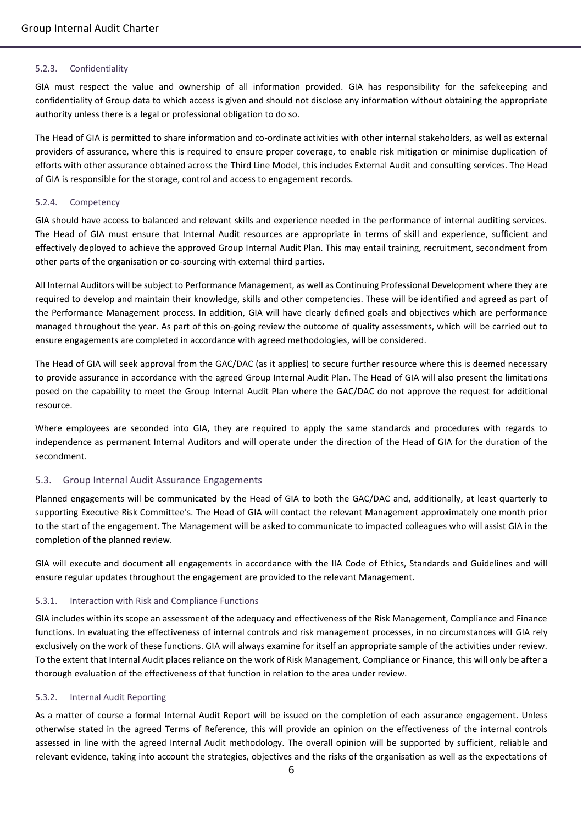#### <span id="page-6-0"></span>5.2.3. Confidentiality

GIA must respect the value and ownership of all information provided. GIA has responsibility for the safekeeping and confidentiality of Group data to which access is given and should not disclose any information without obtaining the appropriate authority unless there is a legal or professional obligation to do so.

The Head of GIA is permitted to share information and co-ordinate activities with other internal stakeholders, as well as external providers of assurance, where this is required to ensure proper coverage, to enable risk mitigation or minimise duplication of efforts with other assurance obtained across the Third Line Model, this includes External Audit and consulting services. The Head of GIA is responsible for the storage, control and access to engagement records.

#### <span id="page-6-1"></span>5.2.4. Competency

GIA should have access to balanced and relevant skills and experience needed in the performance of internal auditing services. The Head of GIA must ensure that Internal Audit resources are appropriate in terms of skill and experience, sufficient and effectively deployed to achieve the approved Group Internal Audit Plan. This may entail training, recruitment, secondment from other parts of the organisation or co-sourcing with external third parties.

All Internal Auditors will be subject to Performance Management, as well as Continuing Professional Development where they are required to develop and maintain their knowledge, skills and other competencies. These will be identified and agreed as part of the Performance Management process. In addition, GIA will have clearly defined goals and objectives which are performance managed throughout the year. As part of this on-going review the outcome of quality assessments, which will be carried out to ensure engagements are completed in accordance with agreed methodologies, will be considered.

The Head of GIA will seek approval from the GAC/DAC (as it applies) to secure further resource where this is deemed necessary to provide assurance in accordance with the agreed Group Internal Audit Plan. The Head of GIA will also present the limitations posed on the capability to meet the Group Internal Audit Plan where the GAC/DAC do not approve the request for additional resource.

Where employees are seconded into GIA, they are required to apply the same standards and procedures with regards to independence as permanent Internal Auditors and will operate under the direction of the Head of GIA for the duration of the secondment.

#### <span id="page-6-2"></span>5.3. Group Internal Audit Assurance Engagements

Planned engagements will be communicated by the Head of GIA to both the GAC/DAC and, additionally, at least quarterly to supporting Executive Risk Committee's. The Head of GIA will contact the relevant Management approximately one month prior to the start of the engagement. The Management will be asked to communicate to impacted colleagues who will assist GIA in the completion of the planned review.

GIA will execute and document all engagements in accordance with the IIA Code of Ethics, Standards and Guidelines and will ensure regular updates throughout the engagement are provided to the relevant Management.

#### <span id="page-6-3"></span>5.3.1. Interaction with Risk and Compliance Functions

GIA includes within its scope an assessment of the adequacy and effectiveness of the Risk Management, Compliance and Finance functions. In evaluating the effectiveness of internal controls and risk management processes, in no circumstances will GIA rely exclusively on the work of these functions. GIA will always examine for itself an appropriate sample of the activities under review. To the extent that Internal Audit places reliance on the work of Risk Management, Compliance or Finance, this will only be after a thorough evaluation of the effectiveness of that function in relation to the area under review.

#### <span id="page-6-4"></span>5.3.2. Internal Audit Reporting

As a matter of course a formal Internal Audit Report will be issued on the completion of each assurance engagement. Unless otherwise stated in the agreed Terms of Reference, this will provide an opinion on the effectiveness of the internal controls assessed in line with the agreed Internal Audit methodology. The overall opinion will be supported by sufficient, reliable and relevant evidence, taking into account the strategies, objectives and the risks of the organisation as well as the expectations of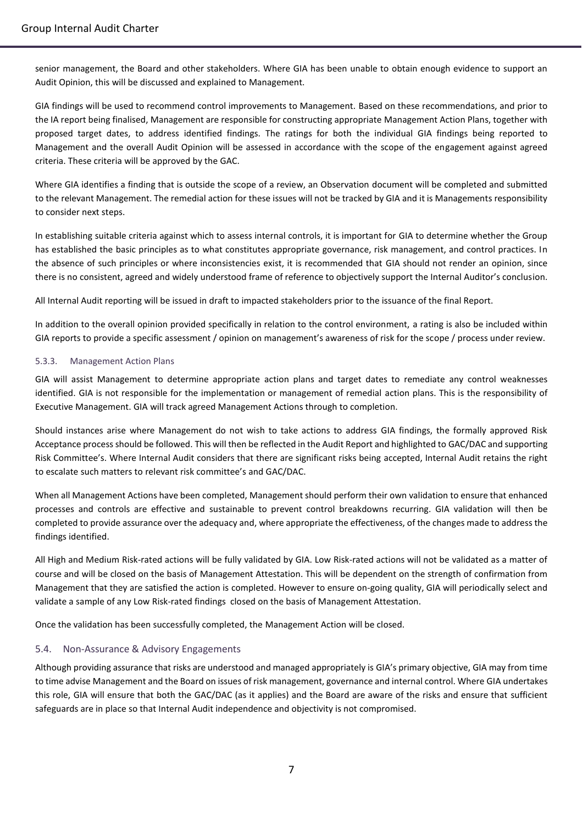senior management, the Board and other stakeholders. Where GIA has been unable to obtain enough evidence to support an Audit Opinion, this will be discussed and explained to Management.

GIA findings will be used to recommend control improvements to Management. Based on these recommendations, and prior to the IA report being finalised, Management are responsible for constructing appropriate Management Action Plans, together with proposed target dates, to address identified findings. The ratings for both the individual GIA findings being reported to Management and the overall Audit Opinion will be assessed in accordance with the scope of the engagement against agreed criteria. These criteria will be approved by the GAC.

Where GIA identifies a finding that is outside the scope of a review, an Observation document will be completed and submitted to the relevant Management. The remedial action for these issues will not be tracked by GIA and it is Managements responsibility to consider next steps.

In establishing suitable criteria against which to assess internal controls, it is important for GIA to determine whether the Group has established the basic principles as to what constitutes appropriate governance, risk management, and control practices. In the absence of such principles or where inconsistencies exist, it is recommended that GIA should not render an opinion, since there is no consistent, agreed and widely understood frame of reference to objectively support the Internal Auditor's conclusion.

All Internal Audit reporting will be issued in draft to impacted stakeholders prior to the issuance of the final Report.

In addition to the overall opinion provided specifically in relation to the control environment, a rating is also be included within GIA reports to provide a specific assessment / opinion on management's awareness of risk for the scope / process under review.

### <span id="page-7-0"></span>5.3.3. Management Action Plans

GIA will assist Management to determine appropriate action plans and target dates to remediate any control weaknesses identified. GIA is not responsible for the implementation or management of remedial action plans. This is the responsibility of Executive Management. GIA will track agreed Management Actions through to completion.

Should instances arise where Management do not wish to take actions to address GIA findings, the formally approved Risk Acceptance process should be followed. This will then be reflected in the Audit Report and highlighted to GAC/DAC and supporting Risk Committee's. Where Internal Audit considers that there are significant risks being accepted, Internal Audit retains the right to escalate such matters to relevant risk committee's and GAC/DAC.

When all Management Actions have been completed, Management should perform their own validation to ensure that enhanced processes and controls are effective and sustainable to prevent control breakdowns recurring. GIA validation will then be completed to provide assurance over the adequacy and, where appropriate the effectiveness, of the changes made to address the findings identified.

All High and Medium Risk-rated actions will be fully validated by GIA. Low Risk-rated actions will not be validated as a matter of course and will be closed on the basis of Management Attestation. This will be dependent on the strength of confirmation from Management that they are satisfied the action is completed. However to ensure on-going quality, GIA will periodically select and validate a sample of any Low Risk-rated findings closed on the basis of Management Attestation.

Once the validation has been successfully completed, the Management Action will be closed.

## <span id="page-7-1"></span>5.4. Non-Assurance & Advisory Engagements

Although providing assurance that risks are understood and managed appropriately is GIA's primary objective, GIA may from time to time advise Management and the Board on issues of risk management, governance and internal control. Where GIA undertakes this role, GIA will ensure that both the GAC/DAC (as it applies) and the Board are aware of the risks and ensure that sufficient safeguards are in place so that Internal Audit independence and objectivity is not compromised.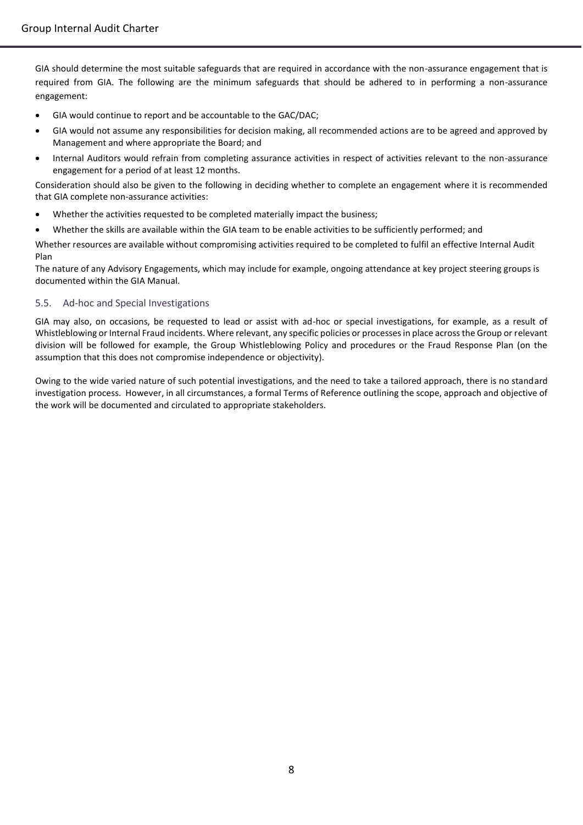GIA should determine the most suitable safeguards that are required in accordance with the non-assurance engagement that is required from GIA. The following are the minimum safeguards that should be adhered to in performing a non-assurance engagement:

- GIA would continue to report and be accountable to the GAC/DAC;
- GIA would not assume any responsibilities for decision making, all recommended actions are to be agreed and approved by Management and where appropriate the Board; and
- Internal Auditors would refrain from completing assurance activities in respect of activities relevant to the non-assurance engagement for a period of at least 12 months.

Consideration should also be given to the following in deciding whether to complete an engagement where it is recommended that GIA complete non-assurance activities:

- Whether the activities requested to be completed materially impact the business;
- Whether the skills are available within the GIA team to be enable activities to be sufficiently performed; and

Whether resources are available without compromising activities required to be completed to fulfil an effective Internal Audit Plan

The nature of any Advisory Engagements, which may include for example, ongoing attendance at key project steering groups is documented within the GIA Manual.

### 5.5. Ad-hoc and Special Investigations

GIA may also, on occasions, be requested to lead or assist with ad-hoc or special investigations, for example, as a result of Whistleblowing or Internal Fraud incidents. Where relevant, any specific policies or processes in place across the Group or relevant division will be followed for example, the Group Whistleblowing Policy and procedures or the Fraud Response Plan (on the assumption that this does not compromise independence or objectivity).

Owing to the wide varied nature of such potential investigations, and the need to take a tailored approach, there is no standard investigation process. However, in all circumstances, a formal Terms of Reference outlining the scope, approach and objective of the work will be documented and circulated to appropriate stakeholders.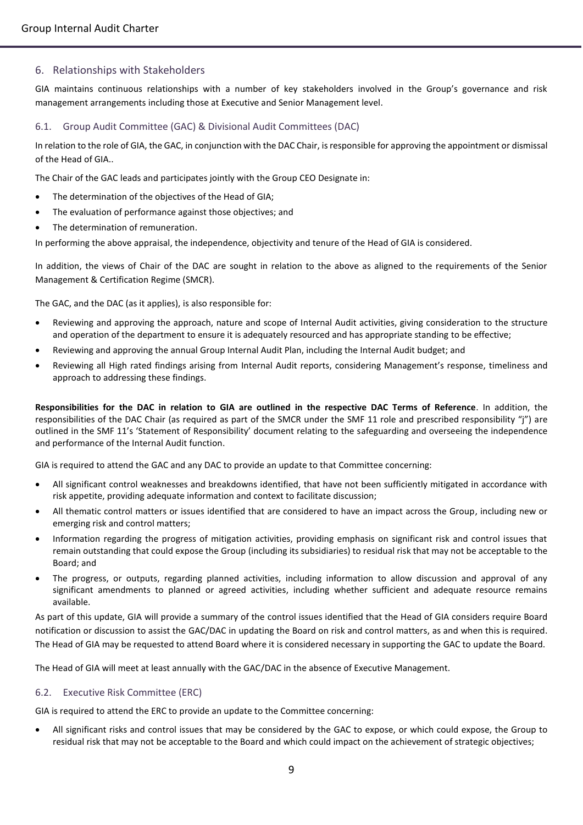## <span id="page-9-0"></span>6. Relationships with Stakeholders

GIA maintains continuous relationships with a number of key stakeholders involved in the Group's governance and risk management arrangements including those at Executive and Senior Management level.

#### <span id="page-9-1"></span>6.1. Group Audit Committee (GAC) & Divisional Audit Committees (DAC)

In relation to the role of GIA, the GAC, in conjunction with the DAC Chair, is responsible for approving the appointment or dismissal of the Head of GIA..

The Chair of the GAC leads and participates jointly with the Group CEO Designate in:

- The determination of the objectives of the Head of GIA;
- The evaluation of performance against those objectives; and
- The determination of remuneration.

In performing the above appraisal, the independence, objectivity and tenure of the Head of GIA is considered.

In addition, the views of Chair of the DAC are sought in relation to the above as aligned to the requirements of the Senior Management & Certification Regime (SMCR).

The GAC, and the DAC (as it applies), is also responsible for:

- Reviewing and approving the approach, nature and scope of Internal Audit activities, giving consideration to the structure and operation of the department to ensure it is adequately resourced and has appropriate standing to be effective;
- Reviewing and approving the annual Group Internal Audit Plan, including the Internal Audit budget; and
- Reviewing all High rated findings arising from Internal Audit reports, considering Management's response, timeliness and approach to addressing these findings.

**Responsibilities for the DAC in relation to GIA are outlined in the respective DAC Terms of Reference**. In addition, the responsibilities of the DAC Chair (as required as part of the SMCR under the SMF 11 role and prescribed responsibility "j") are outlined in the SMF 11's 'Statement of Responsibility' document relating to the safeguarding and overseeing the independence and performance of the Internal Audit function.

GIA is required to attend the GAC and any DAC to provide an update to that Committee concerning:

- All significant control weaknesses and breakdowns identified, that have not been sufficiently mitigated in accordance with risk appetite, providing adequate information and context to facilitate discussion;
- All thematic control matters or issues identified that are considered to have an impact across the Group, including new or emerging risk and control matters;
- Information regarding the progress of mitigation activities, providing emphasis on significant risk and control issues that remain outstanding that could expose the Group (including its subsidiaries) to residual risk that may not be acceptable to the Board; and
- The progress, or outputs, regarding planned activities, including information to allow discussion and approval of any significant amendments to planned or agreed activities, including whether sufficient and adequate resource remains available.

As part of this update, GIA will provide a summary of the control issues identified that the Head of GIA considers require Board notification or discussion to assist the GAC/DAC in updating the Board on risk and control matters, as and when this is required. The Head of GIA may be requested to attend Board where it is considered necessary in supporting the GAC to update the Board.

The Head of GIA will meet at least annually with the GAC/DAC in the absence of Executive Management.

## <span id="page-9-2"></span>6.2. Executive Risk Committee (ERC)

GIA is required to attend the ERC to provide an update to the Committee concerning:

 All significant risks and control issues that may be considered by the GAC to expose, or which could expose, the Group to residual risk that may not be acceptable to the Board and which could impact on the achievement of strategic objectives;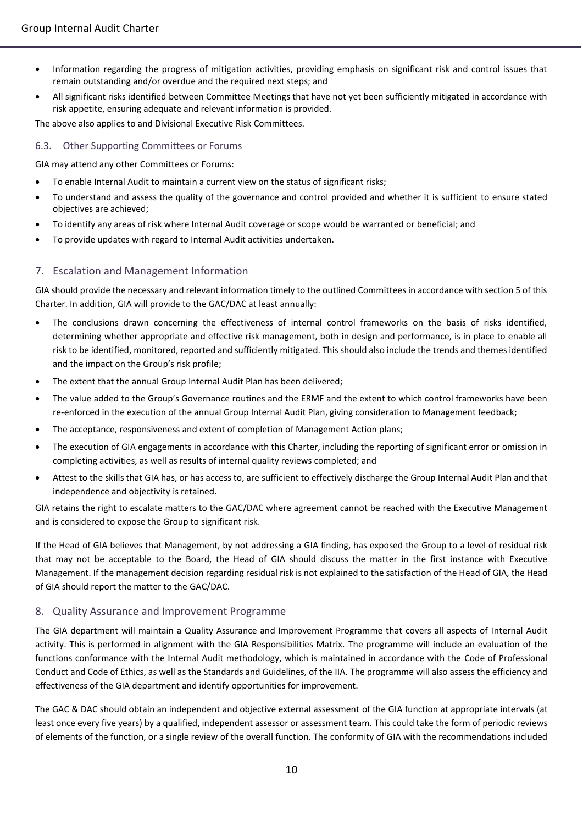- Information regarding the progress of mitigation activities, providing emphasis on significant risk and control issues that remain outstanding and/or overdue and the required next steps; and
- All significant risks identified between Committee Meetings that have not yet been sufficiently mitigated in accordance with risk appetite, ensuring adequate and relevant information is provided.

The above also applies to and Divisional Executive Risk Committees.

#### <span id="page-10-0"></span>6.3. Other Supporting Committees or Forums

GIA may attend any other Committees or Forums:

- To enable Internal Audit to maintain a current view on the status of significant risks;
- To understand and assess the quality of the governance and control provided and whether it is sufficient to ensure stated objectives are achieved;
- To identify any areas of risk where Internal Audit coverage or scope would be warranted or beneficial; and
- To provide updates with regard to Internal Audit activities undertaken.

# <span id="page-10-1"></span>7. Escalation and Management Information

GIA should provide the necessary and relevant information timely to the outlined Committees in accordance with section 5 of this Charter. In addition, GIA will provide to the GAC/DAC at least annually:

- The conclusions drawn concerning the effectiveness of internal control frameworks on the basis of risks identified, determining whether appropriate and effective risk management, both in design and performance, is in place to enable all risk to be identified, monitored, reported and sufficiently mitigated. This should also include the trends and themes identified and the impact on the Group's risk profile;
- The extent that the annual Group Internal Audit Plan has been delivered;
- The value added to the Group's Governance routines and the ERMF and the extent to which control frameworks have been re-enforced in the execution of the annual Group Internal Audit Plan, giving consideration to Management feedback;
- The acceptance, responsiveness and extent of completion of Management Action plans;
- The execution of GIA engagements in accordance with this Charter, including the reporting of significant error or omission in completing activities, as well as results of internal quality reviews completed; and
- Attest to the skills that GIA has, or has access to, are sufficient to effectively discharge the Group Internal Audit Plan and that independence and objectivity is retained.

GIA retains the right to escalate matters to the GAC/DAC where agreement cannot be reached with the Executive Management and is considered to expose the Group to significant risk.

If the Head of GIA believes that Management, by not addressing a GIA finding, has exposed the Group to a level of residual risk that may not be acceptable to the Board, the Head of GIA should discuss the matter in the first instance with Executive Management. If the management decision regarding residual risk is not explained to the satisfaction of the Head of GIA, the Head of GIA should report the matter to the GAC/DAC.

## <span id="page-10-2"></span>8. Quality Assurance and Improvement Programme

The GIA department will maintain a Quality Assurance and Improvement Programme that covers all aspects of Internal Audit activity. This is performed in alignment with the GIA Responsibilities Matrix. The programme will include an evaluation of the functions conformance with the Internal Audit methodology, which is maintained in accordance with the Code of Professional Conduct and Code of Ethics, as well as the Standards and Guidelines, of the IIA. The programme will also assess the efficiency and effectiveness of the GIA department and identify opportunities for improvement.

The GAC & DAC should obtain an independent and objective external assessment of the GIA function at appropriate intervals (at least once every five years) by a qualified, independent assessor or assessment team. This could take the form of periodic reviews of elements of the function, or a single review of the overall function. The conformity of GIA with the recommendations included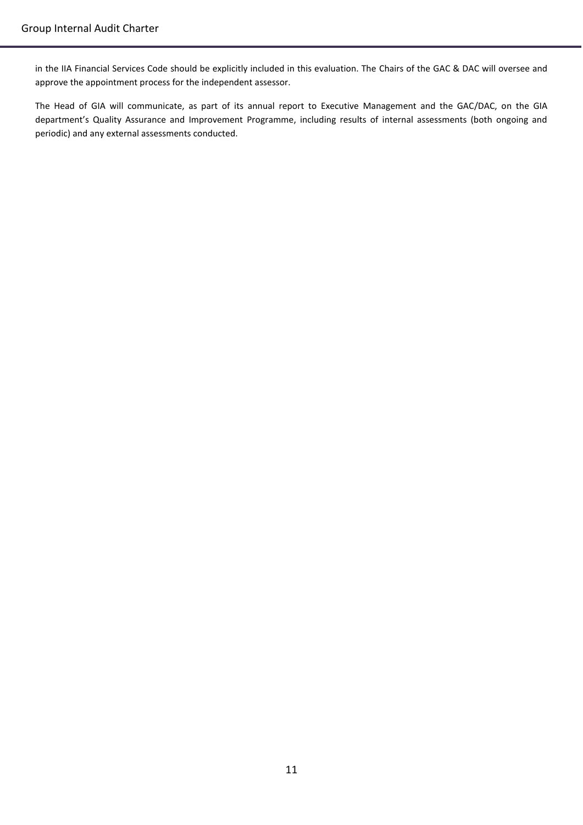in the IIA Financial Services Code should be explicitly included in this evaluation. The Chairs of the GAC & DAC will oversee and approve the appointment process for the independent assessor.

The Head of GIA will communicate, as part of its annual report to Executive Management and the GAC/DAC, on the GIA department's Quality Assurance and Improvement Programme, including results of internal assessments (both ongoing and periodic) and any external assessments conducted.